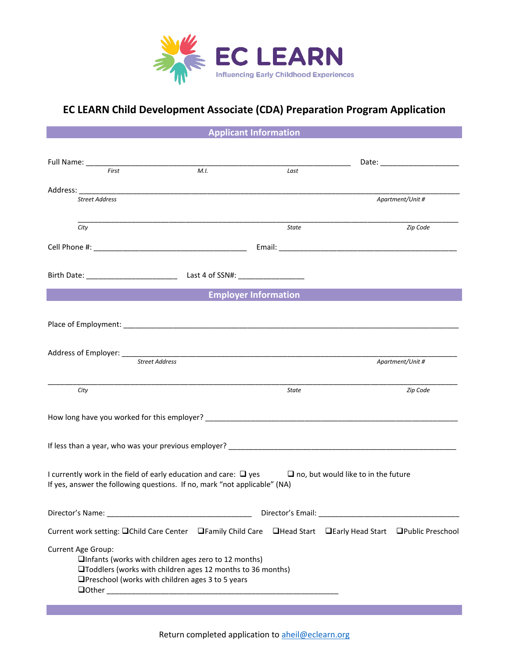

## **EC LEARN Child Development Associate (CDA) Preparation Program Application**

**Applicant Information**

| First                                                                                                                                                                                               |                                                         | M.I.                                                                                                                       | Last  |  |                  |
|-----------------------------------------------------------------------------------------------------------------------------------------------------------------------------------------------------|---------------------------------------------------------|----------------------------------------------------------------------------------------------------------------------------|-------|--|------------------|
|                                                                                                                                                                                                     |                                                         |                                                                                                                            |       |  |                  |
| <b>Street Address</b>                                                                                                                                                                               |                                                         |                                                                                                                            |       |  | Apartment/Unit # |
|                                                                                                                                                                                                     |                                                         |                                                                                                                            |       |  |                  |
| City                                                                                                                                                                                                |                                                         |                                                                                                                            | State |  | Zip Code         |
|                                                                                                                                                                                                     |                                                         |                                                                                                                            |       |  |                  |
|                                                                                                                                                                                                     |                                                         |                                                                                                                            |       |  |                  |
|                                                                                                                                                                                                     |                                                         | <b>Employer Information</b>                                                                                                |       |  |                  |
|                                                                                                                                                                                                     |                                                         |                                                                                                                            |       |  |                  |
|                                                                                                                                                                                                     |                                                         |                                                                                                                            |       |  |                  |
|                                                                                                                                                                                                     |                                                         |                                                                                                                            |       |  |                  |
|                                                                                                                                                                                                     | <b>Street Address</b>                                   |                                                                                                                            |       |  | Apartment/Unit # |
|                                                                                                                                                                                                     |                                                         | <u> 1989 - Johann Harry Harry Harry Harry Harry Harry Harry Harry Harry Harry Harry Harry Harry Harry Harry Harry</u>      |       |  |                  |
| City                                                                                                                                                                                                |                                                         |                                                                                                                            | State |  | Zip Code         |
|                                                                                                                                                                                                     |                                                         |                                                                                                                            |       |  |                  |
|                                                                                                                                                                                                     |                                                         |                                                                                                                            |       |  |                  |
| I currently work in the field of early education and care: $\square$ yes $\square$ no, but would like to in the future<br>If yes, answer the following questions. If no, mark "not applicable" (NA) |                                                         |                                                                                                                            |       |  |                  |
| Director's Name:                                                                                                                                                                                    | Director's Email:                                       |                                                                                                                            |       |  |                  |
| Current work setting: □Child Care Center □Family Child Care □Head Start □Early Head Start □Public Preschool                                                                                         |                                                         |                                                                                                                            |       |  |                  |
| <b>Current Age Group:</b>                                                                                                                                                                           | $\Box$ Preschool (works with children ages 3 to 5 years | $\Box$ Infants (works with children ages zero to 12 months)<br>□Toddlers (works with children ages 12 months to 36 months) |       |  |                  |